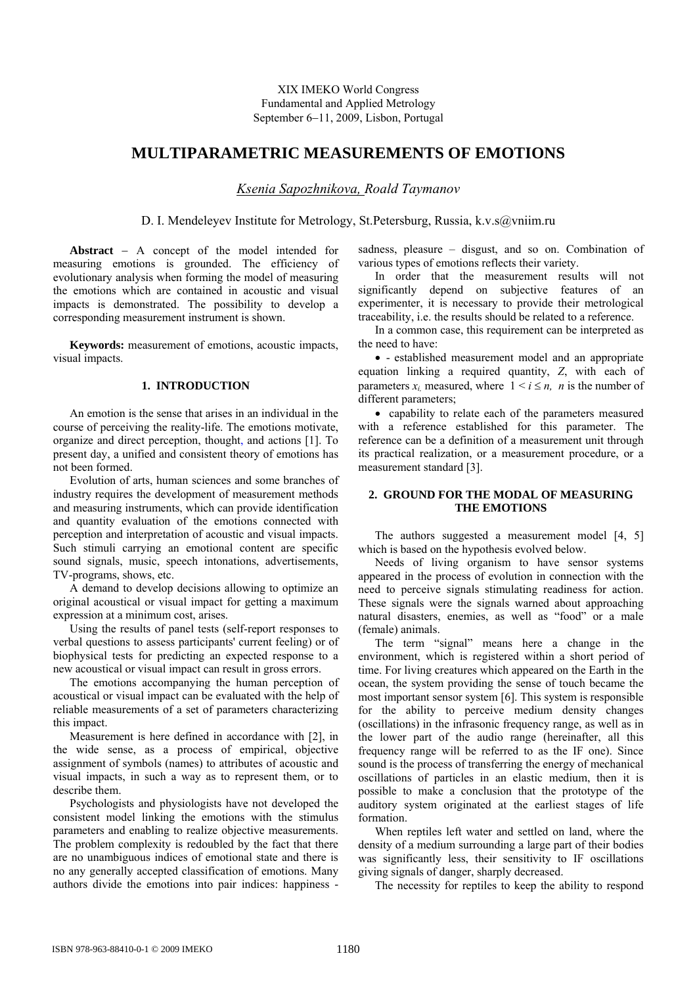XIX IMEKO World Congress Fundamental and Applied Metrology September 6–11, 2009, Lisbon, Portugal

# **MULTIPARAMETRIC MEASUREMENTS OF EMOTIONS**

*Ksenia Sapozhnikova, Roald Taymanov* 

D. I. Mendeleyev Institute for Metrology, St.Petersburg, Russia, k.v.s@yniim.ru

Abstract - A concept of the model intended for measuring emotions is grounded. The efficiency of evolutionary analysis when forming the model of measuring the emotions which are contained in acoustic and visual impacts is demonstrated. The possibility to develop a corresponding measurement instrument is shown.

**Keywords:** measurement of emotions, acoustic impacts, visual impacts.

#### **1. INTRODUCTION**

An emotion is the sense that arises in an individual in the course of perceiving the reality-life. The emotions motivate, organize and direct perception, thought, and actions [1]. To present day, a unified and consistent theory of emotions has not been formed.

Evolution of arts, human sciences and some branches of industry requires the development of measurement methods and measuring instruments, which can provide identification and quantity evaluation of the emotions connected with perception and interpretation of acoustic and visual impacts. Such stimuli carrying an emotional content are specific sound signals, music, speech intonations, advertisements, TV-programs, shows, etc.

A demand to develop decisions allowing to optimize an original acoustical or visual impact for getting a maximum expression at a minimum cost, arises.

Using the results of panel tests (self-report responses to verbal questions to assess participants' current feeling) or of biophysical tests for predicting an expected response to a new acoustical or visual impact can result in gross errors.

The emotions accompanying the human perception of acoustical or visual impact can be evaluated with the help of reliable measurements of a set of parameters characterizing this impact.

Measurement is here defined in accordance with [2], in the wide sense, as a process of empirical, objective assignment of symbols (names) to attributes of acoustic and visual impacts, in such a way as to represent them, or to describe them.

Psychologists and physiologists have not developed the consistent model linking the emotions with the stimulus parameters and enabling to realize objective measurements. The problem complexity is redoubled by the fact that there are no unambiguous indices of emotional state and there is no any generally accepted classification of emotions. Many authors divide the emotions into pair indices: happiness -

sadness, pleasure – disgust, and so on. Combination of various types of emotions reflects their variety.

In order that the measurement results will not significantly depend on subjective features of an experimenter, it is necessary to provide their metrological traceability, i.e. the results should be related to a reference.

In a common case, this requirement can be interpreted as the need to have:

 - established measurement model and an appropriate equation linking a required quantity, *Z*, with each of parameters  $x_i$  measured, where  $1 \le i \le n$ , *n* is the number of different parameters;

• capability to relate each of the parameters measured with a reference established for this parameter. The reference can be a definition of a measurement unit through its practical realization, or a measurement procedure, or a measurement standard [3].

# **2. GROUND FOR THE MODAL OF MEASURING THE EMOTIONS**

The authors suggested a measurement model [4, 5] which is based on the hypothesis evolved below.

Needs of living organism to have sensor systems appeared in the process of evolution in connection with the need to perceive signals stimulating readiness for action. These signals were the signals warned about approaching natural disasters, enemies, as well as "food" or a male (female) animals.

The term "signal" means here a change in the environment, which is registered within a short period of time. For living creatures which appeared on the Earth in the ocean, the system providing the sense of touch became the most important sensor system [6]. This system is responsible for the ability to perceive medium density changes (oscillations) in the infrasonic frequency range, as well as in the lower part of the audio range (hereinafter, all this frequency range will be referred to as the IF one). Since sound is the process of transferring the energy of mechanical oscillations of particles in an elastic medium, then it is possible to make a conclusion that the prototype of the auditory system originated at the earliest stages of life formation.

When reptiles left water and settled on land, where the density of a medium surrounding a large part of their bodies was significantly less, their sensitivity to IF oscillations giving signals of danger, sharply decreased.

The necessity for reptiles to keep the ability to respond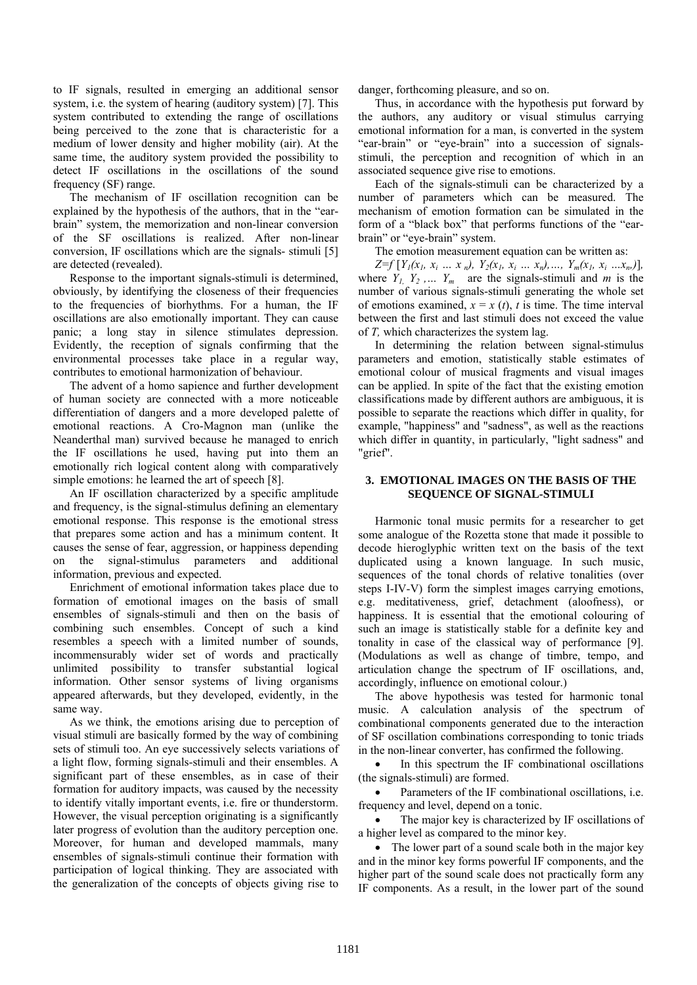to IF signals, resulted in emerging an additional sensor system, i.e. the system of hearing (auditory system) [7]. This system contributed to extending the range of oscillations being perceived to the zone that is characteristic for a medium of lower density and higher mobility (air). At the same time, the auditory system provided the possibility to detect IF oscillations in the oscillations of the sound frequency (SF) range.

The mechanism of IF oscillation recognition can be explained by the hypothesis of the authors, that in the "earbrain" system, the memorization and non-linear conversion of the SF oscillations is realized. After non-linear conversion, IF oscillations which are the signals- stimuli [5] are detected (revealed).

Response to the important signals-stimuli is determined, obviously, by identifying the closeness of their frequencies to the frequencies of biorhythms. For a human, the IF oscillations are also emotionally important. They can cause panic; a long stay in silence stimulates depression. Evidently, the reception of signals confirming that the environmental processes take place in a regular way, contributes to emotional harmonization of behaviour.

The advent of a homo sapience and further development of human society are connected with a more noticeable differentiation of dangers and a more developed palette of emotional reactions. A Cro-Magnon man (unlike the Neanderthal man) survived because he managed to enrich the IF oscillations he used, having put into them an emotionally rich logical content along with comparatively simple emotions: he learned the art of speech [8].

An IF oscillation characterized by a specific amplitude and frequency, is the signal-stimulus defining an elementary emotional response. This response is the emotional stress that prepares some action and has a minimum content. It causes the sense of fear, aggression, or happiness depending on the signal-stimulus parameters and additional information, previous and expected.

Enrichment of emotional information takes place due to formation of emotional images on the basis of small ensembles of signals-stimuli and then on the basis of combining such ensembles. Concept of such a kind resembles a speech with a limited number of sounds, incommensurably wider set of words and practically unlimited possibility to transfer substantial logical information. Other sensor systems of living organisms appeared afterwards, but they developed, evidently, in the same way.

As we think, the emotions arising due to perception of visual stimuli are basically formed by the way of combining sets of stimuli too. An eye successively selects variations of a light flow, forming signals-stimuli and their ensembles. A significant part of these ensembles, as in case of their formation for auditory impacts, was caused by the necessity to identify vitally important events, i.e. fire or thunderstorm. However, the visual perception originating is a significantly later progress of evolution than the auditory perception one. Moreover, for human and developed mammals, many ensembles of signals-stimuli continue their formation with participation of logical thinking. They are associated with the generalization of the concepts of objects giving rise to

danger, forthcoming pleasure, and so on.

Thus, in accordance with the hypothesis put forward by the authors, any auditory or visual stimulus carrying emotional information for a man, is converted in the system "ear-brain" or "eye-brain" into a succession of signalsstimuli, the perception and recognition of which in an associated sequence give rise to emotions.

Each of the signals-stimuli can be characterized by a number of parameters which can be measured. The mechanism of emotion formation can be simulated in the form of a "black box" that performs functions of the "earbrain" or "eye-brain" system.

The emotion measurement equation can be written as:

 $Z=f[Y_1(x_1, x_1... x_n), Y_2(x_1, x_1... x_n), ..., Y_m(x_l, x_i... x_n)]$ where  $Y_1, Y_2, \ldots, Y_m$  are the signals-stimuli and *m* is the number of various signals-stimuli generating the whole set of emotions examined,  $x = x(t)$ , *t* is time. The time interval between the first and last stimuli does not exceed the value of *T,* which characterizes the system lag.

In determining the relation between signal-stimulus parameters and emotion, statistically stable estimates of emotional colour of musical fragments and visual images can be applied. In spite of the fact that the existing emotion classifications made by different authors are ambiguous, it is possible to separate the reactions which differ in quality, for example, "happiness" and "sadness", as well as the reactions which differ in quantity, in particularly, "light sadness" and "grief".

# **3. EMOTIONAL IMAGES ON THE BASIS OF THE SEQUENCE OF SIGNAL-STIMULI**

Harmonic tonal music permits for a researcher to get some analogue of the Rozetta stone that made it possible to decode hieroglyphic written text on the basis of the text duplicated using a known language. In such music, sequences of the tonal chords of relative tonalities (over steps I-IV-V) form the simplest images carrying emotions, e.g. meditativeness, grief, detachment (aloofness), or happiness. It is essential that the emotional colouring of such an image is statistically stable for a definite key and tonality in case of the classical way of performance [9]. (Modulations as well as change of timbre, tempo, and articulation change the spectrum of IF oscillations, and, accordingly, influence on emotional colour.)

The above hypothesis was tested for harmonic tonal music. A calculation analysis of the spectrum of combinational components generated due to the interaction of SF oscillation combinations corresponding to tonic triads in the non-linear converter, has confirmed the following.

 In this spectrum the IF combinational oscillations (the signals-stimuli) are formed.

 Parameters of the IF combinational oscillations, i.e. frequency and level, depend on a tonic.

 The major key is characterized by IF oscillations of a higher level as compared to the minor key.

• The lower part of a sound scale both in the major key and in the minor key forms powerful IF components, and the higher part of the sound scale does not practically form any IF components. As a result, in the lower part of the sound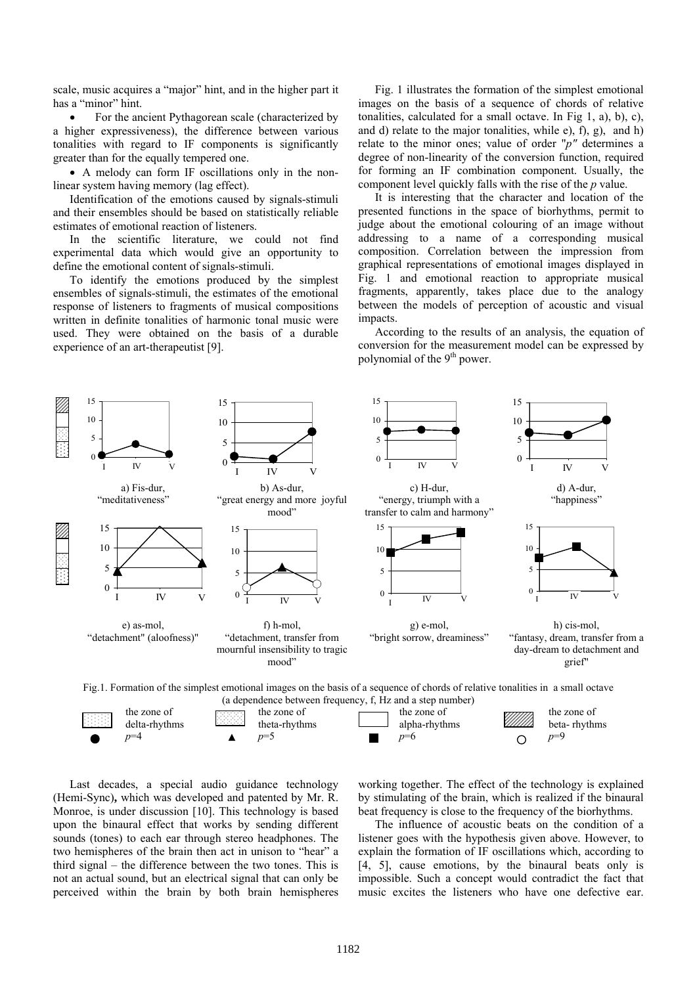scale, music acquires a "major" hint, and in the higher part it has a "minor" hint.

 For the ancient Pythagorean scale (characterized by a higher expressiveness), the difference between various tonalities with regard to IF components is significantly greater than for the equally tempered one.

 A melody can form IF oscillations only in the nonlinear system having memory (lag effect).

Identification of the emotions caused by signals-stimuli and their ensembles should be based on statistically reliable estimates of emotional reaction of listeners.

In the scientific literature, we could not find experimental data which would give an opportunity to define the emotional content of signals-stimuli.

To identify the emotions produced by the simplest ensembles of signals-stimuli, the estimates of the emotional response of listeners to fragments of musical compositions written in definite tonalities of harmonic tonal music were used. They were obtained on the basis of a durable experience of an art-therapeutist [9].

Fig. 1 illustrates the formation of the simplest emotional images on the basis of a sequence of chords of relative tonalities, calculated for a small octave. In Fig 1, a), b), c), and d) relate to the major tonalities, while e), f), g), and h) relate to the minor ones; value of order "*p"* determines a degree of non-linearity of the conversion function, required for forming an IF combination component. Usually, the component level quickly falls with the rise of the *p* value.

It is interesting that the character and location of the presented functions in the space of biorhythms, permit to judge about the emotional colouring of an image without addressing to a name of a corresponding musical composition. Correlation between the impression from graphical representations of emotional images displayed in Fig. 1 and emotional reaction to appropriate musical fragments, apparently, takes place due to the analogy between the models of perception of acoustic and visual impacts.

According to the results of an analysis, the equation of conversion for the measurement model can be expressed by polynomial of the 9<sup>th</sup> power.



Last decades, a special audio guidance technology (Hemi-Sync)**,** which was developed and patented by Mr. R. Monroe, is under discussion [10]. This technology is based upon the binaural effect that works by sending different sounds (tones) to each ear through stereo headphones. The two hemispheres of the brain then act in unison to "hear" a third signal – the difference between the two tones. This is not an actual sound, but an electrical signal that can only be perceived within the brain by both brain hemispheres

working together. The effect of the technology is explained by stimulating of the brain, which is realized if the binaural beat frequency is close to the frequency of the biorhythms.

The influence of acoustic beats on the condition of a listener goes with the hypothesis given above. However, to explain the formation of IF oscillations which, according to [4, 5], cause emotions, by the binaural beats only is impossible. Such a concept would contradict the fact that music excites the listeners who have one defective ear.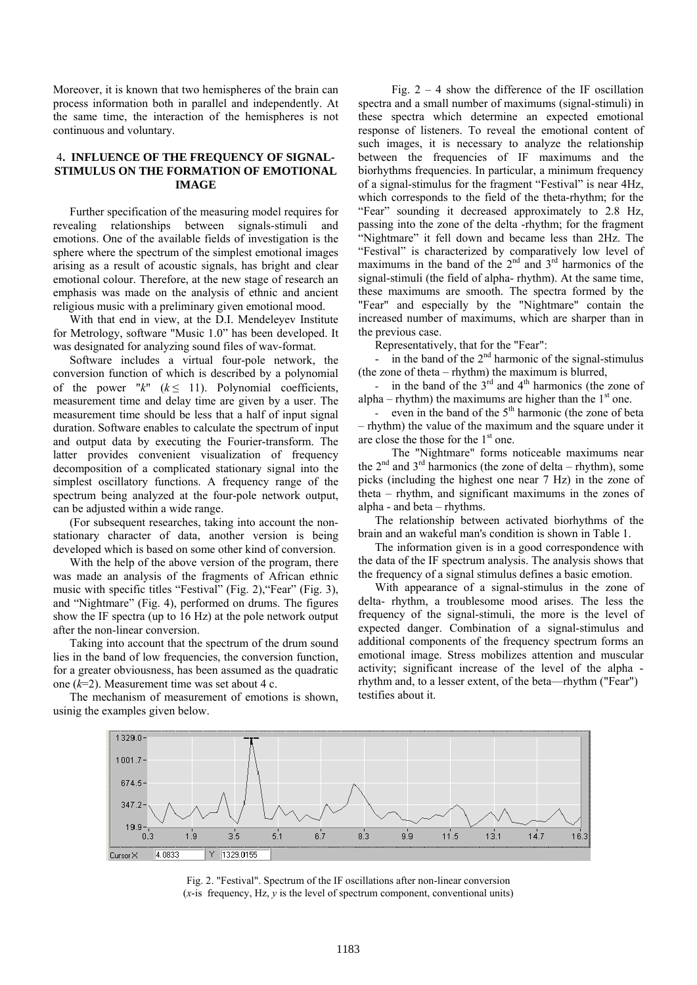Moreover, it is known that two hemispheres of the brain can process information both in parallel and independently. At the same time, the interaction of the hemispheres is not continuous and voluntary.

### 4**. INFLUENCE OF THE FREQUENCY OF SIGNAL-STIMULUS ON THE FORMATION OF EMOTIONAL IMAGE**

Further specification of the measuring model requires for revealing relationships between signals-stimuli and emotions. One of the available fields of investigation is the sphere where the spectrum of the simplest emotional images arising as a result of acoustic signals, has bright and clear emotional colour. Therefore, at the new stage of research an emphasis was made on the analysis of ethnic and ancient religious music with a preliminary given emotional mood.

With that end in view, at the D.I. Mendeleyev Institute for Metrology, software "Music 1.0" has been developed. It was designated for analyzing sound files of wav-format.

Software includes a virtual four-pole network, the conversion function of which is described by a polynomial of the power " $k$ " ( $k \leq 11$ ). Polynomial coefficients, measurement time and delay time are given by a user. The measurement time should be less that a half of input signal duration. Software enables to calculate the spectrum of input and output data by executing the Fourier-transform. The latter provides convenient visualization of frequency decomposition of a complicated stationary signal into the simplest oscillatory functions. A frequency range of the spectrum being analyzed at the four-pole network output, can be adjusted within a wide range.

(For subsequent researches, taking into account the nonstationary character of data, another version is being developed which is based on some other kind of conversion.

With the help of the above version of the program, there was made an analysis of the fragments of African ethnic music with specific titles "Festival" (Fig. 2),"Fear" (Fig. 3), and "Nightmare" (Fig. 4), performed on drums. The figures show the IF spectra (up to 16 Hz) at the pole network output after the non-linear conversion.

Taking into account that the spectrum of the drum sound lies in the band of low frequencies, the conversion function, for a greater obviousness, has been assumed as the quadratic one (*k*=2). Measurement time was set about 4 c.

The mechanism of measurement of emotions is shown, usinig the examples given below.

Fig.  $2 - 4$  show the difference of the IF oscillation spectra and a small number of maximums (signal-stimuli) in these spectra which determine an expected emotional response of listeners. To reveal the emotional content of such images, it is necessary to analyze the relationship between the frequencies of IF maximums and the biorhythms frequencies. In particular, a minimum frequency of a signal-stimulus for the fragment "Festival" is near 4Hz, which corresponds to the field of the theta-rhythm; for the "Fear" sounding it decreased approximately to 2.8 Hz, passing into the zone of the delta -rhythm; for the fragment "Nightmare" it fell down and became less than 2Hz. The "Festival" is characterized by comparatively low level of maximums in the band of the  $2<sup>nd</sup>$  and  $3<sup>rd</sup>$  harmonics of the signal-stimuli (the field of alpha- rhythm). At the same time, these maximums are smooth. The spectra formed by the "Fear" and especially by the "Nightmare" contain the increased number of maximums, which are sharper than in the previous case.

Representatively, that for the "Fear":

- in the band of the  $2<sup>nd</sup>$  harmonic of the signal-stimulus (the zone of theta – rhythm) the maximum is blurred,

in the band of the  $3<sup>rd</sup>$  and  $4<sup>th</sup>$  harmonics (the zone of alpha – rhythm) the maximums are higher than the  $1<sup>st</sup>$  one.

- even in the band of the  $5<sup>th</sup>$  harmonic (the zone of beta – rhythm) the value of the maximum and the square under it are close the those for the  $1<sup>st</sup>$  one.

The "Nightmare" forms noticeable maximums near the  $2<sup>nd</sup>$  and  $3<sup>rd</sup>$  harmonics (the zone of delta – rhythm), some picks (including the highest one near 7 Hz) in the zone of theta – rhythm, and significant maximums in the zones of alpha - and beta – rhythms.

The relationship between activated biorhythms of the brain and an wakeful man's condition is shown in Table 1.

The information given is in a good correspondence with the data of the IF spectrum analysis. The analysis shows that the frequency of a signal stimulus defines a basic emotion.

With appearance of a signal-stimulus in the zone of delta- rhythm, a troublesome mood arises. The less the frequency of the signal-stimuli, the more is the level of expected danger. Combination of a signal-stimulus and additional components of the frequency spectrum forms an emotional image. Stress mobilizes attention and muscular activity; significant increase of the level of the alpha rhythm and, to a lesser extent, of the beta—rhythm ("Fear") testifies about it.



Fig. 2. "Festival". Spectrum of the IF oscillations after non-linear conversion  $(x$ -is frequency, Hz,  $\nu$  is the level of spectrum component, conventional units)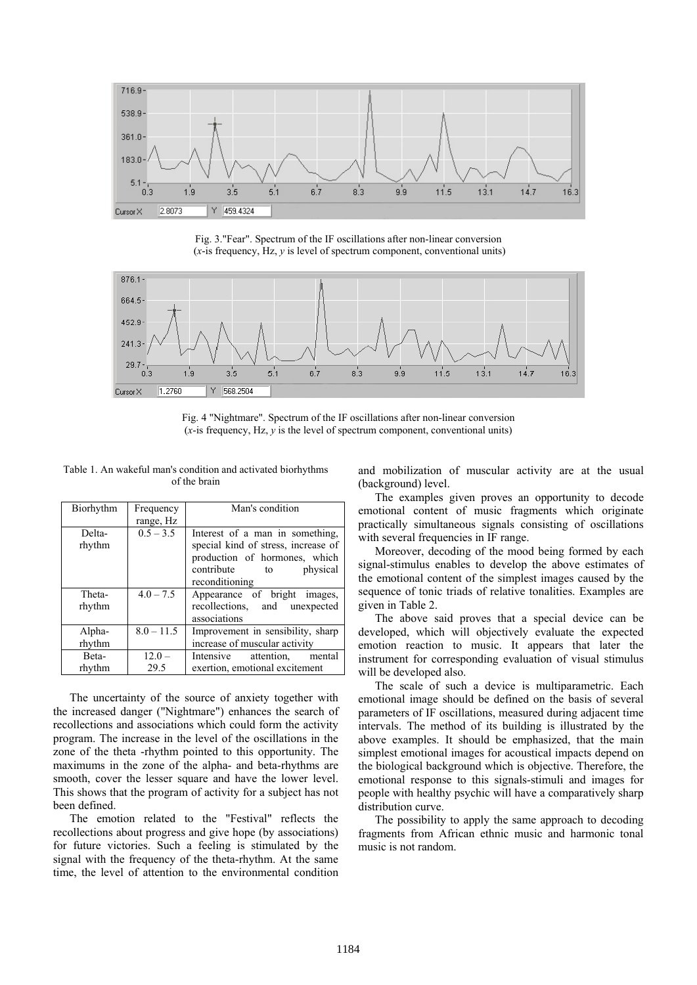

Fig. 3."Fear". Spectrum of the IF oscillations after non-linear conversion (*x*-is frequency, Hz, *y* is level of spectrum component, conventional units)



Fig. 4 "Nightmare". Spectrum of the IF oscillations after non-linear conversion  $(x$ -is frequency, Hz,  $\hat{y}$  is the level of spectrum component, conventional units)

Table 1. An wakeful man's condition and activated biorhythms of the brain

| Biorhythm        | Frequency               | Man's condition                                                                                                                                           |
|------------------|-------------------------|-----------------------------------------------------------------------------------------------------------------------------------------------------------|
|                  | range, Hz               |                                                                                                                                                           |
| Delta-<br>rhythm | $0.5 - 3.5$             | Interest of a man in something,<br>special kind of stress, increase of<br>production of hormones, which<br>contribute<br>physical<br>to<br>reconditioning |
| Theta-<br>rhythm | $4.0 - 7.5$             | Appearance of bright images,<br>recollections, and<br>unexpected<br>associations                                                                          |
| Alpha-<br>rhythm | $\overline{8.0} - 11.5$ | Improvement in sensibility, sharp<br>increase of muscular activity                                                                                        |
| Beta-<br>rhythm  | $12.0 -$<br>29.5        | Intensive<br>attention.<br>mental<br>exertion, emotional excitement                                                                                       |

The uncertainty of the source of anxiety together with the increased danger ("Nightmare") enhances the search of recollections and associations which could form the activity program. The increase in the level of the oscillations in the zone of the theta -rhythm pointed to this opportunity. The maximums in the zone of the alpha- and beta-rhythms are smooth, cover the lesser square and have the lower level. This shows that the program of activity for a subject has not been defined.

The emotion related to the "Festival" reflects the recollections about progress and give hope (by associations) for future victories. Such a feeling is stimulated by the signal with the frequency of the theta-rhythm. At the same time, the level of attention to the environmental condition and mobilization of muscular activity are at the usual (background) level.

The examples given proves an opportunity to decode emotional content of music fragments which originate practically simultaneous signals consisting of oscillations with several frequencies in IF range.

Moreover, decoding of the mood being formed by each signal-stimulus enables to develop the above estimates of the emotional content of the simplest images caused by the sequence of tonic triads of relative tonalities. Examples are given in Table 2.

The above said proves that a special device can be developed, which will objectively evaluate the expected emotion reaction to music. It appears that later the instrument for corresponding evaluation of visual stimulus will be developed also.

The scale of such a device is multiparametric. Each emotional image should be defined on the basis of several parameters of IF oscillations, measured during adjacent time intervals. The method of its building is illustrated by the above examples. It should be emphasized, that the main simplest emotional images for acoustical impacts depend on the biological background which is objective. Therefore, the emotional response to this signals-stimuli and images for people with healthy psychic will have a comparatively sharp distribution curve.

The possibility to apply the same approach to decoding fragments from African ethnic music and harmonic tonal music is not random.